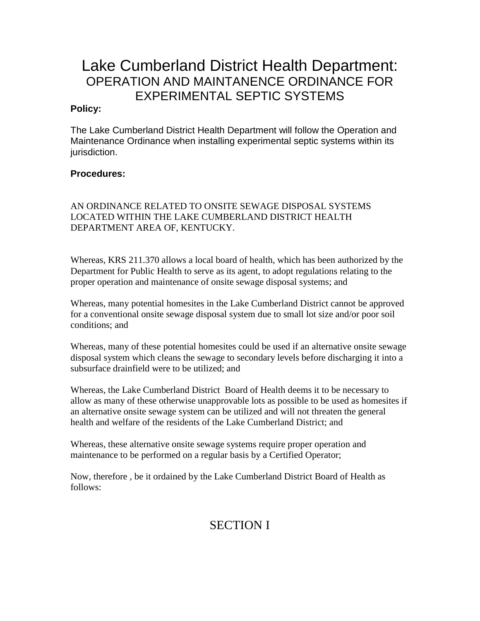# Lake Cumberland District Health Department: OPERATION AND MAINTANENCE ORDINANCE FOR EXPERIMENTAL SEPTIC SYSTEMS

#### **Policy:**

The Lake Cumberland District Health Department will follow the Operation and Maintenance Ordinance when installing experimental septic systems within its jurisdiction.

### **Procedures:**

#### AN ORDINANCE RELATED TO ONSITE SEWAGE DISPOSAL SYSTEMS LOCATED WITHIN THE LAKE CUMBERLAND DISTRICT HEALTH DEPARTMENT AREA OF, KENTUCKY.

Whereas, KRS 211.370 allows a local board of health, which has been authorized by the Department for Public Health to serve as its agent, to adopt regulations relating to the proper operation and maintenance of onsite sewage disposal systems; and

Whereas, many potential homesites in the Lake Cumberland District cannot be approved for a conventional onsite sewage disposal system due to small lot size and/or poor soil conditions; and

Whereas, many of these potential homesites could be used if an alternative onsite sewage disposal system which cleans the sewage to secondary levels before discharging it into a subsurface drainfield were to be utilized; and

Whereas, the Lake Cumberland District Board of Health deems it to be necessary to allow as many of these otherwise unapprovable lots as possible to be used as homesites if an alternative onsite sewage system can be utilized and will not threaten the general health and welfare of the residents of the Lake Cumberland District; and

Whereas, these alternative onsite sewage systems require proper operation and maintenance to be performed on a regular basis by a Certified Operator;

Now, therefore , be it ordained by the Lake Cumberland District Board of Health as follows:

# SECTION I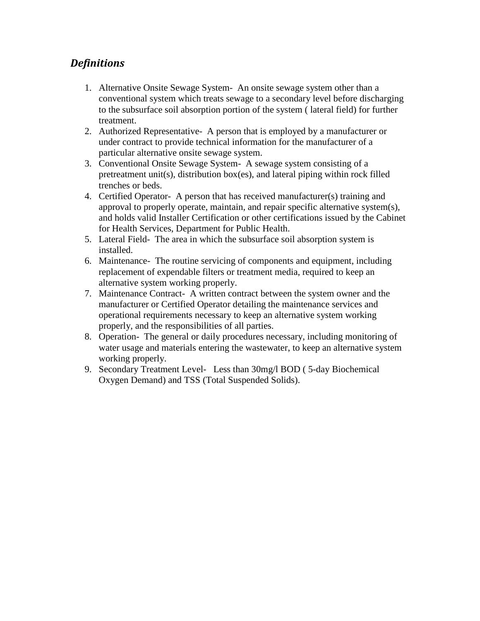## *Definitions*

- 1. Alternative Onsite Sewage System- An onsite sewage system other than a conventional system which treats sewage to a secondary level before discharging to the subsurface soil absorption portion of the system ( lateral field) for further treatment.
- 2. Authorized Representative- A person that is employed by a manufacturer or under contract to provide technical information for the manufacturer of a particular alternative onsite sewage system.
- 3. Conventional Onsite Sewage System- A sewage system consisting of a pretreatment unit(s), distribution box(es), and lateral piping within rock filled trenches or beds.
- 4. Certified Operator- A person that has received manufacturer(s) training and approval to properly operate, maintain, and repair specific alternative system(s), and holds valid Installer Certification or other certifications issued by the Cabinet for Health Services, Department for Public Health.
- 5. Lateral Field- The area in which the subsurface soil absorption system is installed.
- 6. Maintenance- The routine servicing of components and equipment, including replacement of expendable filters or treatment media, required to keep an alternative system working properly.
- 7. Maintenance Contract- A written contract between the system owner and the manufacturer or Certified Operator detailing the maintenance services and operational requirements necessary to keep an alternative system working properly, and the responsibilities of all parties.
- 8. Operation- The general or daily procedures necessary, including monitoring of water usage and materials entering the wastewater, to keep an alternative system working properly.
- 9. Secondary Treatment Level- Less than 30mg/l BOD ( 5-day Biochemical Oxygen Demand) and TSS (Total Suspended Solids).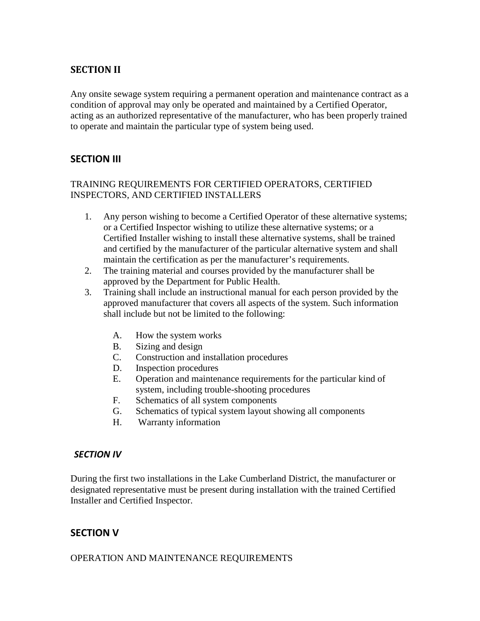## **SECTION II**

Any onsite sewage system requiring a permanent operation and maintenance contract as a condition of approval may only be operated and maintained by a Certified Operator, acting as an authorized representative of the manufacturer, who has been properly trained to operate and maintain the particular type of system being used.

### **SECTION III**

#### TRAINING REQUIREMENTS FOR CERTIFIED OPERATORS, CERTIFIED INSPECTORS, AND CERTIFIED INSTALLERS

- 1. Any person wishing to become a Certified Operator of these alternative systems; or a Certified Inspector wishing to utilize these alternative systems; or a Certified Installer wishing to install these alternative systems, shall be trained and certified by the manufacturer of the particular alternative system and shall maintain the certification as per the manufacturer's requirements.
- 2. The training material and courses provided by the manufacturer shall be approved by the Department for Public Health.
- 3. Training shall include an instructional manual for each person provided by the approved manufacturer that covers all aspects of the system. Such information shall include but not be limited to the following:
	- A. How the system works
	- B. Sizing and design
	- C. Construction and installation procedures
	- D. Inspection procedures
	- E. Operation and maintenance requirements for the particular kind of system, including trouble-shooting procedures
	- F. Schematics of all system components
	- G. Schematics of typical system layout showing all components
	- H. Warranty information

#### *SECTION IV*

During the first two installations in the Lake Cumberland District, the manufacturer or designated representative must be present during installation with the trained Certified Installer and Certified Inspector.

## **SECTION V**

#### OPERATION AND MAINTENANCE REQUIREMENTS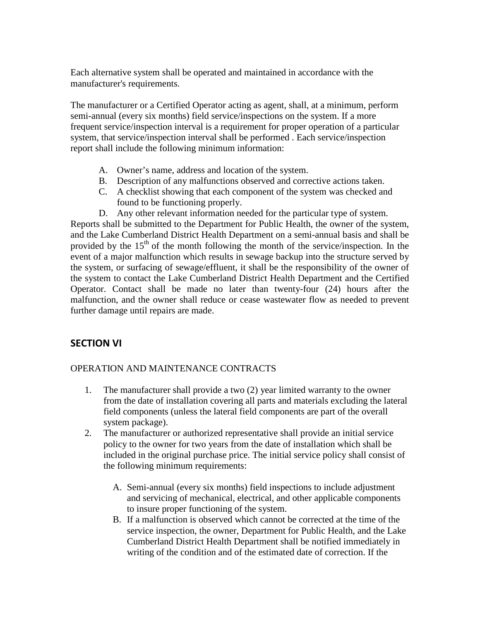Each alternative system shall be operated and maintained in accordance with the manufacturer's requirements.

The manufacturer or a Certified Operator acting as agent, shall, at a minimum, perform semi-annual (every six months) field service/inspections on the system. If a more frequent service/inspection interval is a requirement for proper operation of a particular system, that service/inspection interval shall be performed . Each service/inspection report shall include the following minimum information:

- A. Owner's name, address and location of the system.
- B. Description of any malfunctions observed and corrective actions taken.
- C. A checklist showing that each component of the system was checked and found to be functioning properly.
- D. Any other relevant information needed for the particular type of system.

Reports shall be submitted to the Department for Public Health, the owner of the system, and the Lake Cumberland District Health Department on a semi-annual basis and shall be provided by the  $15<sup>th</sup>$  of the month following the month of the service/inspection. In the event of a major malfunction which results in sewage backup into the structure served by the system, or surfacing of sewage/effluent, it shall be the responsibility of the owner of the system to contact the Lake Cumberland District Health Department and the Certified Operator. Contact shall be made no later than twenty-four (24) hours after the malfunction, and the owner shall reduce or cease wastewater flow as needed to prevent further damage until repairs are made.

## **SECTION VI**

#### OPERATION AND MAINTENANCE CONTRACTS

- 1. The manufacturer shall provide a two (2) year limited warranty to the owner from the date of installation covering all parts and materials excluding the lateral field components (unless the lateral field components are part of the overall system package).
- 2. The manufacturer or authorized representative shall provide an initial service policy to the owner for two years from the date of installation which shall be included in the original purchase price. The initial service policy shall consist of the following minimum requirements:
	- A. Semi-annual (every six months) field inspections to include adjustment and servicing of mechanical, electrical, and other applicable components to insure proper functioning of the system.
	- B. If a malfunction is observed which cannot be corrected at the time of the service inspection, the owner, Department for Public Health, and the Lake Cumberland District Health Department shall be notified immediately in writing of the condition and of the estimated date of correction. If the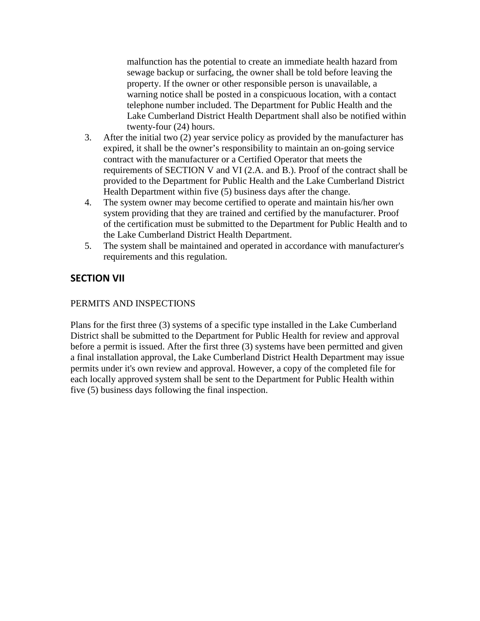malfunction has the potential to create an immediate health hazard from sewage backup or surfacing, the owner shall be told before leaving the property. If the owner or other responsible person is unavailable, a warning notice shall be posted in a conspicuous location, with a contact telephone number included. The Department for Public Health and the Lake Cumberland District Health Department shall also be notified within twenty-four (24) hours.

- 3. After the initial two (2) year service policy as provided by the manufacturer has expired, it shall be the owner's responsibility to maintain an on-going service contract with the manufacturer or a Certified Operator that meets the requirements of SECTION V and VI (2.A. and B.). Proof of the contract shall be provided to the Department for Public Health and the Lake Cumberland District Health Department within five (5) business days after the change.
- 4. The system owner may become certified to operate and maintain his/her own system providing that they are trained and certified by the manufacturer. Proof of the certification must be submitted to the Department for Public Health and to the Lake Cumberland District Health Department.
- 5. The system shall be maintained and operated in accordance with manufacturer's requirements and this regulation.

## **SECTION VII**

#### PERMITS AND INSPECTIONS

Plans for the first three (3) systems of a specific type installed in the Lake Cumberland District shall be submitted to the Department for Public Health for review and approval before a permit is issued. After the first three (3) systems have been permitted and given a final installation approval, the Lake Cumberland District Health Department may issue permits under it's own review and approval. However, a copy of the completed file for each locally approved system shall be sent to the Department for Public Health within five (5) business days following the final inspection.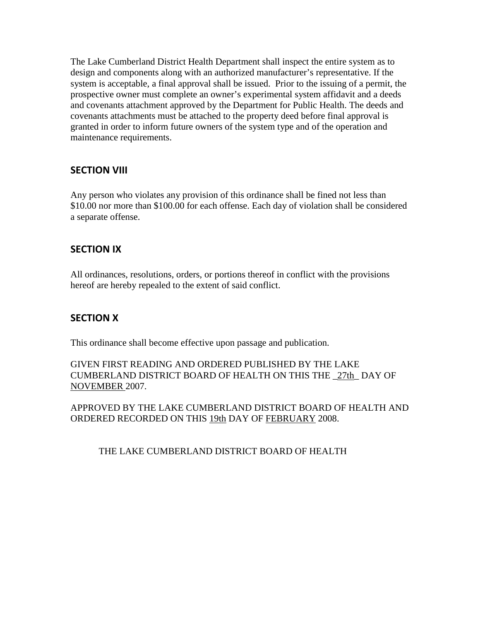The Lake Cumberland District Health Department shall inspect the entire system as to design and components along with an authorized manufacturer's representative. If the system is acceptable, a final approval shall be issued. Prior to the issuing of a permit, the prospective owner must complete an owner's experimental system affidavit and a deeds and covenants attachment approved by the Department for Public Health. The deeds and covenants attachments must be attached to the property deed before final approval is granted in order to inform future owners of the system type and of the operation and maintenance requirements.

### **SECTION VIII**

Any person who violates any provision of this ordinance shall be fined not less than \$10.00 nor more than \$100.00 for each offense. Each day of violation shall be considered a separate offense.

### **SECTION IX**

All ordinances, resolutions, orders, or portions thereof in conflict with the provisions hereof are hereby repealed to the extent of said conflict.

## **SECTION X**

This ordinance shall become effective upon passage and publication.

#### GIVEN FIRST READING AND ORDERED PUBLISHED BY THE LAKE CUMBERLAND DISTRICT BOARD OF HEALTH ON THIS THE \_27th\_ DAY OF NOVEMBER 2007.

APPROVED BY THE LAKE CUMBERLAND DISTRICT BOARD OF HEALTH AND ORDERED RECORDED ON THIS 19th DAY OF FEBRUARY 2008.

THE LAKE CUMBERLAND DISTRICT BOARD OF HEALTH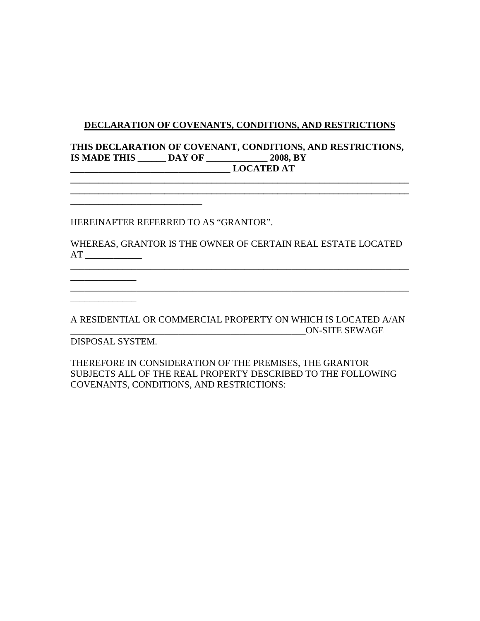#### **DECLARATION OF COVENANTS, CONDITIONS, AND RESTRICTIONS**

#### **THIS DECLARATION OF COVENANT, CONDITIONS, AND RESTRICTIONS, IS MADE THIS \_\_\_\_\_\_ DAY OF \_\_\_\_\_\_\_\_\_\_\_\_\_ 2008, BY \_\_\_\_\_\_\_\_\_\_\_\_\_\_\_\_\_\_\_\_\_\_\_\_\_\_\_\_\_\_\_\_\_\_ LOCATED AT**

**\_\_\_\_\_\_\_\_\_\_\_\_\_\_\_\_\_\_\_\_\_\_\_\_\_\_\_\_\_\_\_\_\_\_\_\_\_\_\_\_\_\_\_\_\_\_\_\_\_\_\_\_\_\_\_\_\_\_\_\_\_\_\_\_\_\_\_\_\_\_\_\_**

HEREINAFTER REFERRED TO AS "GRANTOR".

**\_\_\_\_\_\_\_\_\_\_\_\_\_\_\_\_\_\_\_\_\_\_\_\_\_\_\_\_**

WHEREAS, GRANTOR IS THE OWNER OF CERTAIN REAL ESTATE LOCATED AT \_\_\_\_\_\_\_\_\_\_\_\_

A RESIDENTIAL OR COMMERCIAL PROPERTY ON WHICH IS LOCATED A/AN \_\_\_\_\_\_\_\_\_\_\_\_\_\_\_\_\_\_\_\_\_\_\_\_\_\_\_\_\_\_\_\_\_\_\_\_\_\_\_\_\_\_\_\_\_\_\_\_\_\_ON-SITE SEWAGE

\_\_\_\_\_\_\_\_\_\_\_\_\_\_\_\_\_\_\_\_\_\_\_\_\_\_\_\_\_\_\_\_\_\_\_\_\_\_\_\_\_\_\_\_\_\_\_\_\_\_\_\_\_\_\_\_\_\_\_\_\_\_\_\_\_\_\_\_\_\_\_\_

DISPOSAL SYSTEM.

\_\_\_\_\_\_\_\_\_\_\_\_\_\_

\_\_\_\_\_\_\_\_\_\_\_\_\_\_

THEREFORE IN CONSIDERATION OF THE PREMISES, THE GRANTOR SUBJECTS ALL OF THE REAL PROPERTY DESCRIBED TO THE FOLLOWING COVENANTS, CONDITIONS, AND RESTRICTIONS: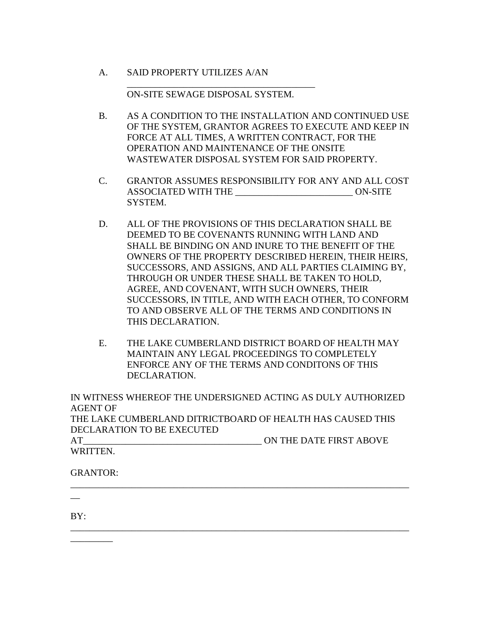A. SAID PROPERTY UTILIZES A/AN

ON-SITE SEWAGE DISPOSAL SYSTEM.

\_\_\_\_\_\_\_\_\_\_\_\_\_\_\_\_\_\_\_\_\_\_\_\_\_\_\_\_\_\_\_\_\_\_\_\_\_\_\_\_

- B. AS A CONDITION TO THE INSTALLATION AND CONTINUED USE OF THE SYSTEM, GRANTOR AGREES TO EXECUTE AND KEEP IN FORCE AT ALL TIMES, A WRITTEN CONTRACT, FOR THE OPERATION AND MAINTENANCE OF THE ONSITE WASTEWATER DISPOSAL SYSTEM FOR SAID PROPERTY.
- C. GRANTOR ASSUMES RESPONSIBILITY FOR ANY AND ALL COST ASSOCIATED WITH THE \_\_\_\_\_\_\_\_\_\_\_\_\_\_\_\_\_\_\_\_\_\_\_\_\_ ON-SITE SYSTEM.
- D. ALL OF THE PROVISIONS OF THIS DECLARATION SHALL BE DEEMED TO BE COVENANTS RUNNING WITH LAND AND SHALL BE BINDING ON AND INURE TO THE BENEFIT OF THE OWNERS OF THE PROPERTY DESCRIBED HEREIN, THEIR HEIRS, SUCCESSORS, AND ASSIGNS, AND ALL PARTIES CLAIMING BY, THROUGH OR UNDER THESE SHALL BE TAKEN TO HOLD, AGREE, AND COVENANT, WITH SUCH OWNERS, THEIR SUCCESSORS, IN TITLE, AND WITH EACH OTHER, TO CONFORM TO AND OBSERVE ALL OF THE TERMS AND CONDITIONS IN THIS DECLARATION.
- E. THE LAKE CUMBERLAND DISTRICT BOARD OF HEALTH MAY MAINTAIN ANY LEGAL PROCEEDINGS TO COMPLETELY ENFORCE ANY OF THE TERMS AND CONDITONS OF THIS DECLARATION.

IN WITNESS WHEREOF THE UNDERSIGNED ACTING AS DULY AUTHORIZED AGENT OF THE LAKE CUMBERLAND DITRICTBOARD OF HEALTH HAS CAUSED THIS DECLARATION TO BE EXECUTED

\_\_\_\_\_\_\_\_\_\_\_\_\_\_\_\_\_\_\_\_\_\_\_\_\_\_\_\_\_\_\_\_\_\_\_\_\_\_\_\_\_\_\_\_\_\_\_\_\_\_\_\_\_\_\_\_\_\_\_\_\_\_\_\_\_\_\_\_\_\_\_\_

\_\_\_\_\_\_\_\_\_\_\_\_\_\_\_\_\_\_\_\_\_\_\_\_\_\_\_\_\_\_\_\_\_\_\_\_\_\_\_\_\_\_\_\_\_\_\_\_\_\_\_\_\_\_\_\_\_\_\_\_\_\_\_\_\_\_\_\_\_\_\_\_

AT ON THE DATE FIRST ABOVE WRITTEN.

GRANTOR:

 $\overline{\phantom{a}}$  , where  $\overline{\phantom{a}}$ 

BY:

 $\overline{\phantom{0}}$